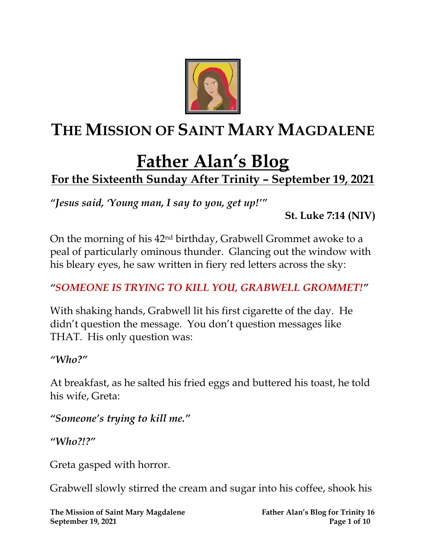

## **THE MISSION OF SAINT MARY MAGDALENE**

# **Father Alan's Blog**

### **For the Sixteenth Sunday After Trinity – September 19, 2021**

*"Jesus said, 'Young man, I say to you, get up!'"* 

**St. Luke 7:14 (NIV)**

On the morning of his 42nd birthday, Grabwell Grommet awoke to a peal of particularly ominous thunder. Glancing out the window with his bleary eyes, he saw written in fiery red letters across the sky:

#### *"SOMEONE IS TRYING TO KILL YOU, GRABWELL GROMMET!"*

With shaking hands, Grabwell lit his first cigarette of the day. He didn't question the message. You don't question messages like THAT. His only question was:

*"Who?"*

At breakfast, as he salted his fried eggs and buttered his toast, he told his wife, Greta:

*"Someone's trying to kill me."*

*"Who?!?"*

Greta gasped with horror.

Grabwell slowly stirred the cream and sugar into his coffee, shook his

**The Mission of Saint Mary Magdalene Father Alan's Blog for Trinity 16 September 19, 2021 Page 1** of 10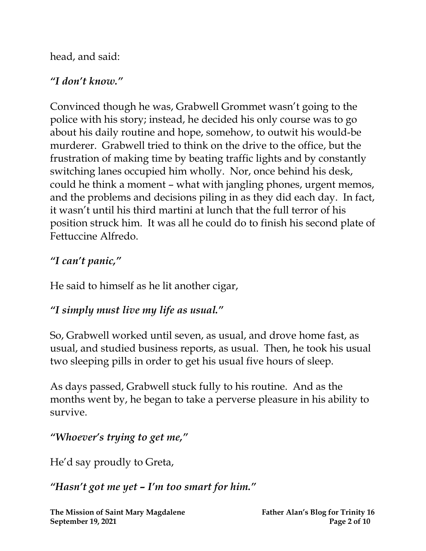head, and said:

#### *"I don't know."*

Convinced though he was, Grabwell Grommet wasn't going to the police with his story; instead, he decided his only course was to go about his daily routine and hope, somehow, to outwit his would-be murderer. Grabwell tried to think on the drive to the office, but the frustration of making time by beating traffic lights and by constantly switching lanes occupied him wholly. Nor, once behind his desk, could he think a moment – what with jangling phones, urgent memos, and the problems and decisions piling in as they did each day. In fact, it wasn't until his third martini at lunch that the full terror of his position struck him. It was all he could do to finish his second plate of Fettuccine Alfredo.

#### *"I can't panic, "*

He said to himself as he lit another cigar,

#### *"I simply must live my life as usual."*

So, Grabwell worked until seven, as usual, and drove home fast, as usual, and studied business reports, as usual. Then, he took his usual two sleeping pills in order to get his usual five hours of sleep.

As days passed, Grabwell stuck fully to his routine. And as the months went by, he began to take a perverse pleasure in his ability to survive.

*"Whoever's trying to get me, "*

He'd say proudly to Greta,

*"Hasn't got me yet – I'm too smart for him."*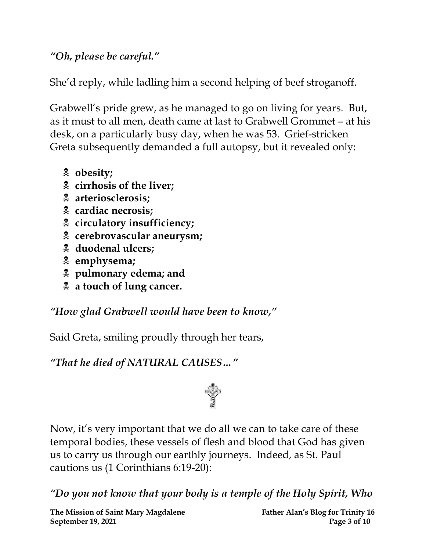*"Oh, please be careful."*

She'd reply, while ladling him a second helping of beef stroganoff.

Grabwell's pride grew, as he managed to go on living for years. But, as it must to all men, death came at last to Grabwell Grommet – at his desk, on a particularly busy day, when he was 53. Grief-stricken Greta subsequently demanded a full autopsy, but it revealed only:

- **obesity;**
- **cirrhosis of the liver;**
- **arteriosclerosis;**
- **cardiac necrosis;**
- **circulatory insufficiency;**
- **cerebrovascular aneurysm;**
- **duodenal ulcers;**
- **emphysema;**
- **pulmonary edema; and**
- **a touch of lung cancer.**

*"How glad Grabwell would have been to know, "*

Said Greta, smiling proudly through her tears,

*"That he died of NATURAL CAUSES…"*



Now, it's very important that we do all we can to take care of these temporal bodies, these vessels of flesh and blood that God has given us to carry us through our earthly journeys. Indeed, as St. Paul cautions us (1 Corinthians 6:19-20):

*"Do you not know that your body is a temple of the Holy Spirit, Who* 

**The Mission of Saint Mary Magdalene Father Alan's Blog for Trinity 16 September 19, 2021 Page 3 of 10**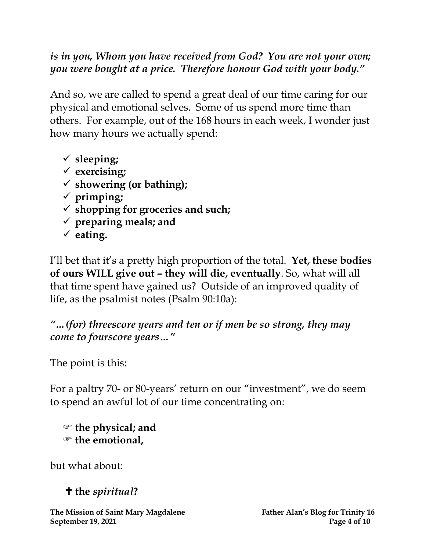*is in you, Whom you have received from God? You are not your own; you were bought at a price. Therefore honour God with your body."*

And so, we are called to spend a great deal of our time caring for our physical and emotional selves. Some of us spend more time than others. For example, out of the 168 hours in each week, I wonder just how many hours we actually spend:

- ✓ **sleeping;**
- ✓ **exercising;**
- ✓ **showering (or bathing);**
- ✓ **primping;**
- ✓ **shopping for groceries and such;**
- ✓ **preparing meals; and**
- ✓ **eating.**

I'll bet that it's a pretty high proportion of the total. **Yet, these bodies of ours WILL give out – they will die, eventually**. So, what will all that time spent have gained us? Outside of an improved quality of life, as the psalmist notes (Psalm 90:10a):

*"…(for) threescore years and ten or if men be so strong, they may come to fourscore years…"*

The point is this:

For a paltry 70- or 80-years' return on our "investment", we do seem to spend an awful lot of our time concentrating on:

 **the physical; and the emotional,**

but what about:

**the** *spiritual***?**

**The Mission of Saint Mary Magdalene Father Alan's Blog for Trinity 16 September 19, 2021 Page 4 of 10**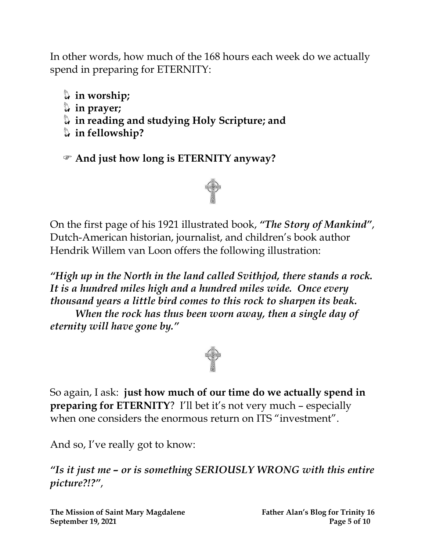In other words, how much of the 168 hours each week do we actually spend in preparing for ETERNITY:

- **in worship;**
- **in prayer;**
- **in reading and studying Holy Scripture; and**
- **in fellowship?**

**And just how long is ETERNITY anyway?**



On the first page of his 1921 illustrated book, *"The Story of Mankind"*, Dutch-American historian, journalist, and children's book author [Hendrik Willem van Loon](http://everything2.com/title/Hendrik+Willem+van+Loon) offers the following illustration:

*"High up in the North in the land called Svithjod, there stands a rock. It is [a hundred miles](http://everything2.com/title/five+hundred+miles) high and a hundred miles wide. Once every [thousand](http://everything2.com/title/thousand) years [a little bird](http://everything2.com/title/a+little+bird) comes to this rock to sharpen its beak. When the [rock](http://everything2.com/title/mountain) has thus been worn away, then [a single day](http://everything2.com/title/a+single+day+of+eternity) of [eternity](http://everything2.com/title/a+single+day+of+eternity) will have gone by."*



So again, I ask: **just how much of our time do we actually spend in preparing for ETERNITY**? I'll bet it's not very much – especially when one considers the enormous return on ITS "investment".

And so, I've really got to know:

*"Is it just me – or is something SERIOUSLY WRONG with this entire picture?!?"*,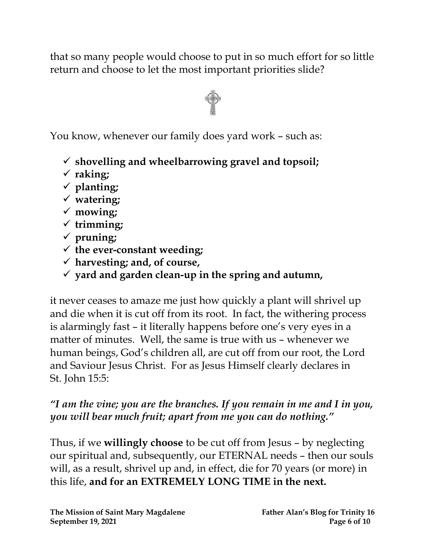that so many people would choose to put in so much effort for so little return and choose to let the most important priorities slide?



You know, whenever our family does yard work – such as:

- ✓ **shovelling and wheelbarrowing gravel and topsoil;**
- ✓ **raking;**
- ✓ **planting;**
- ✓ **watering;**
- ✓ **mowing;**
- ✓ **trimming;**
- ✓ **pruning;**
- ✓ **the ever-constant weeding;**
- ✓ **harvesting; and, of course,**
- ✓ **yard and garden clean-up in the spring and autumn,**

it never ceases to amaze me just how quickly a plant will shrivel up and die when it is cut off from its root. In fact, the withering process is alarmingly fast – it literally happens before one's very eyes in a matter of minutes. Well, the same is true with us – whenever we human beings, God's children all, are cut off from our root, the Lord and Saviour Jesus Christ. For as Jesus Himself clearly declares in St. John 15:5:

#### *"I am the vine; you are the branches. If you remain in me and I in you, you will bear much fruit; apart from me you can do nothing."*

Thus, if we **willingly choose** to be cut off from Jesus – by neglecting our spiritual and, subsequently, our ETERNAL needs – then our souls will, as a result, shrivel up and, in effect, die for 70 years (or more) in this life, **and for an EXTREMELY LONG TIME in the next.**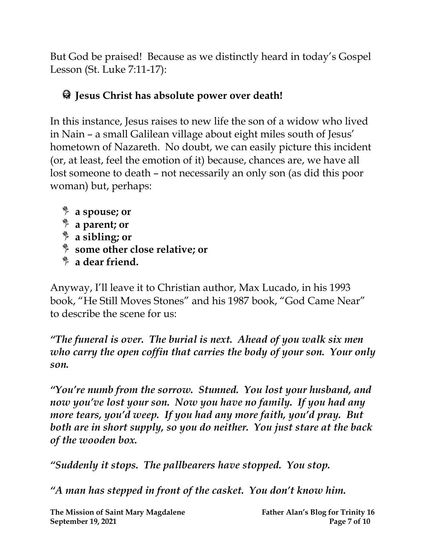But God be praised! Because as we distinctly heard in today's Gospel Lesson (St. Luke 7:11-17):

#### **Jesus Christ has absolute power over death!**

In this instance, Jesus raises to new life the son of a widow who lived in Nain – a small Galilean village about eight miles south of Jesus' hometown of Nazareth. No doubt, we can easily picture this incident (or, at least, feel the emotion of it) because, chances are, we have all lost someone to death – not necessarily an only son (as did this poor woman) but, perhaps:

- **a spouse; or**
- **a parent; or**
- **a sibling; or**
- **some other close relative; or**
- **a dear friend.**

Anyway, I'll leave it to Christian author, Max Lucado, in his 1993 book, "He Still Moves Stones" and his 1987 book, "God Came Near" to describe the scene for us:

*"The funeral is over. The burial is next. Ahead of you walk six men who carry the open coffin that carries the body of your son. Your only son.*

*"You're numb from the sorrow. Stunned. You lost your husband, and now you've lost your son. Now you have no family. If you had any more tears, you'd weep. If you had any more faith, you'd pray. But both are in short supply, so you do neither. You just stare at the back of the wooden box.*

*"Suddenly it stops. The pallbearers have stopped. You stop.*

*"A man has stepped in front of the casket. You don't know him.*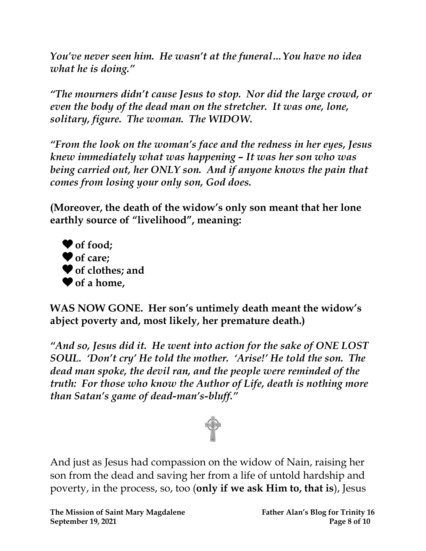*You've never seen him. He wasn't at the funeral…You have no idea what he is doing."*

*"The mourners didn't cause Jesus to stop. Nor did the large crowd, or even the body of the dead man on the stretcher. It was one, lone, solitary, figure. The woman. The WIDOW.*

*"From the look on the woman's face and the redness in her eyes, Jesus knew immediately what was happening – It was her son who was being carried out, her ONLY son. And if anyone knows the pain that comes from losing your only son, God does.*

**(Moreover, the death of the widow's only son meant that her lone earthly source of "livelihood" , meaning:**



**WAS NOW GONE. Her son's untimely death meant the widow's abject poverty and, most likely, her premature death.)**

*"And so, Jesus did it. He went into action for the sake of ONE LOST SOUL. 'Don't cry' He told the mother. 'Arise!' He told the son. The dead man spoke, the devil ran, and the people were reminded of the truth: For those who know the Author of Life, death is nothing more than Satan's game of dead-man's-bluff."*



And just as Jesus had compassion on the widow of Nain, raising her son from the dead and saving her from a life of untold hardship and poverty, in the process, so, too (**only if we ask Him to, that is**), Jesus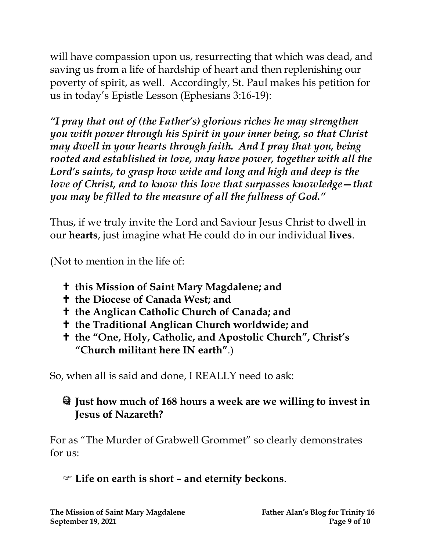will have compassion upon us, resurrecting that which was dead, and saving us from a life of hardship of heart and then replenishing our poverty of spirit, as well. Accordingly, St. Paul makes his petition for us in today's Epistle Lesson (Ephesians 3:16-19):

*"I pray that out of (the Father's) glorious riches he may strengthen you with power through his Spirit in your inner being, so that Christ may dwell in your hearts through faith. And I pray that you, being rooted and established in love, may have power, together with all the Lord's saints, to grasp how wide and long and high and deep is the love of Christ, and to know this love that surpasses knowledge—that you may be filled to the measure of all the fullness of God."*

Thus, if we truly invite the Lord and Saviour Jesus Christ to dwell in our **hearts**, just imagine what He could do in our individual **lives**.

(Not to mention in the life of:

- **this Mission of Saint Mary Magdalene; and**
- **the Diocese of Canada West; and**
- **the Anglican Catholic Church of Canada; and**
- **the Traditional Anglican Church worldwide; and**
- **the "One, Holy, Catholic, and Apostolic Church" , Christ's "Church militant here IN earth"**.)

So, when all is said and done, I REALLY need to ask:

#### **Just how much of 168 hours a week are we willing to invest in Jesus of Nazareth?**

For as "The Murder of Grabwell Grommet" so clearly demonstrates for  $11s$ :

**Life on earth is short – and eternity beckons**.